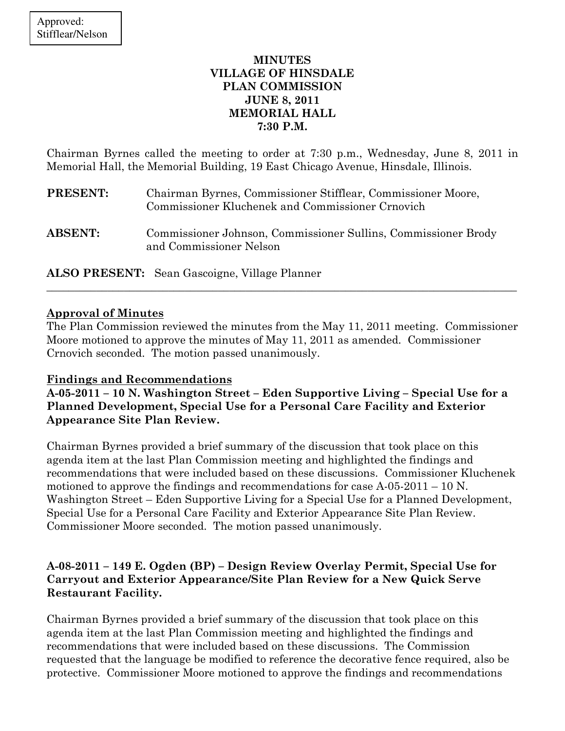### MINUTES VILLAGE OF HINSDALE PLAN COMMISSION JUNE 8, 2011 MEMORIAL HALL 7:30 P.M.

Chairman Byrnes called the meeting to order at 7:30 p.m., Wednesday, June 8, 2011 in Memorial Hall, the Memorial Building, 19 East Chicago Avenue, Hinsdale, Illinois.

| <b>PRESENT:</b> | Chairman Byrnes, Commissioner Stifflear, Commissioner Moore,<br>Commissioner Kluchenek and Commissioner Crnovich |
|-----------------|------------------------------------------------------------------------------------------------------------------|
| <b>ABSENT:</b>  | Commissioner Johnson, Commissioner Sullins, Commissioner Brody<br>and Commissioner Nelson                        |

ALSO PRESENT: Sean Gascoigne, Village Planner

### Approval of Minutes

The Plan Commission reviewed the minutes from the May 11, 2011 meeting. Commissioner Moore motioned to approve the minutes of May 11, 2011 as amended. Commissioner Crnovich seconded. The motion passed unanimously.

\_\_\_\_\_\_\_\_\_\_\_\_\_\_\_\_\_\_\_\_\_\_\_\_\_\_\_\_\_\_\_\_\_\_\_\_\_\_\_\_\_\_\_\_\_\_\_\_\_\_\_\_\_\_\_\_\_\_\_\_\_\_\_\_\_\_\_\_\_\_\_\_\_\_\_\_\_\_\_\_\_\_\_\_\_

## Findings and Recommendations

A-05-2011 – 10 N. Washington Street – Eden Supportive Living – Special Use for a Planned Development, Special Use for a Personal Care Facility and Exterior Appearance Site Plan Review.

Chairman Byrnes provided a brief summary of the discussion that took place on this agenda item at the last Plan Commission meeting and highlighted the findings and recommendations that were included based on these discussions. Commissioner Kluchenek motioned to approve the findings and recommendations for case  $A-05-2011-10$  N. Washington Street – Eden Supportive Living for a Special Use for a Planned Development, Special Use for a Personal Care Facility and Exterior Appearance Site Plan Review. Commissioner Moore seconded. The motion passed unanimously.

## A-08-2011 – 149 E. Ogden (BP) – Design Review Overlay Permit, Special Use for Carryout and Exterior Appearance/Site Plan Review for a New Quick Serve Restaurant Facility.

Chairman Byrnes provided a brief summary of the discussion that took place on this agenda item at the last Plan Commission meeting and highlighted the findings and recommendations that were included based on these discussions. The Commission requested that the language be modified to reference the decorative fence required, also be protective. Commissioner Moore motioned to approve the findings and recommendations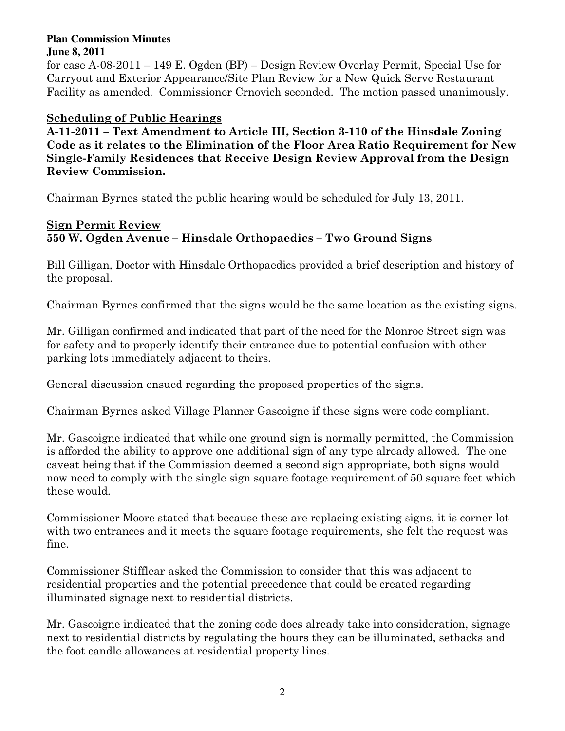#### **Plan Commission Minutes June 8, 2011**

for case A-08-2011 – 149 E. Ogden (BP) – Design Review Overlay Permit, Special Use for Carryout and Exterior Appearance/Site Plan Review for a New Quick Serve Restaurant Facility as amended. Commissioner Crnovich seconded. The motion passed unanimously.

## Scheduling of Public Hearings

A-11-2011 – Text Amendment to Article III, Section 3-110 of the Hinsdale Zoning Code as it relates to the Elimination of the Floor Area Ratio Requirement for New Single-Family Residences that Receive Design Review Approval from the Design Review Commission.

Chairman Byrnes stated the public hearing would be scheduled for July 13, 2011.

# Sign Permit Review 550 W. Ogden Avenue – Hinsdale Orthopaedics – Two Ground Signs

Bill Gilligan, Doctor with Hinsdale Orthopaedics provided a brief description and history of the proposal.

Chairman Byrnes confirmed that the signs would be the same location as the existing signs.

Mr. Gilligan confirmed and indicated that part of the need for the Monroe Street sign was for safety and to properly identify their entrance due to potential confusion with other parking lots immediately adjacent to theirs.

General discussion ensued regarding the proposed properties of the signs.

Chairman Byrnes asked Village Planner Gascoigne if these signs were code compliant.

Mr. Gascoigne indicated that while one ground sign is normally permitted, the Commission is afforded the ability to approve one additional sign of any type already allowed. The one caveat being that if the Commission deemed a second sign appropriate, both signs would now need to comply with the single sign square footage requirement of 50 square feet which these would.

Commissioner Moore stated that because these are replacing existing signs, it is corner lot with two entrances and it meets the square footage requirements, she felt the request was fine.

Commissioner Stifflear asked the Commission to consider that this was adjacent to residential properties and the potential precedence that could be created regarding illuminated signage next to residential districts.

Mr. Gascoigne indicated that the zoning code does already take into consideration, signage next to residential districts by regulating the hours they can be illuminated, setbacks and the foot candle allowances at residential property lines.